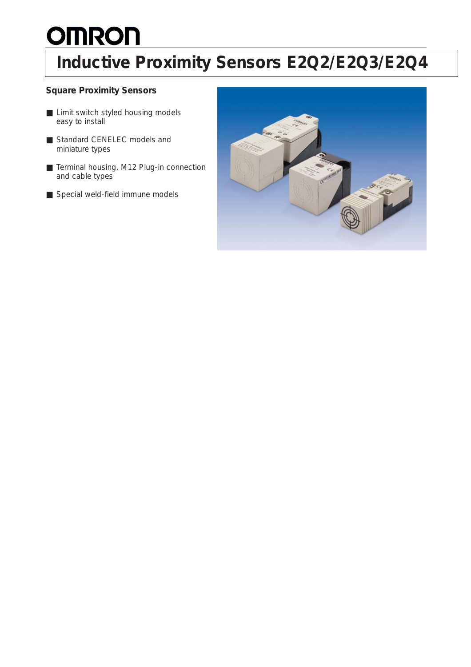# **OMRON**

### **Inductive Proximity Sensors E2Q2/E2Q3/E2Q4**

### **Square Proximity Sensors**

- Limit switch styled housing models easy to install
- Standard CENELEC models and miniature types
- Terminal housing, M12 Plug-in connection and cable types
- Special weld-field immune models

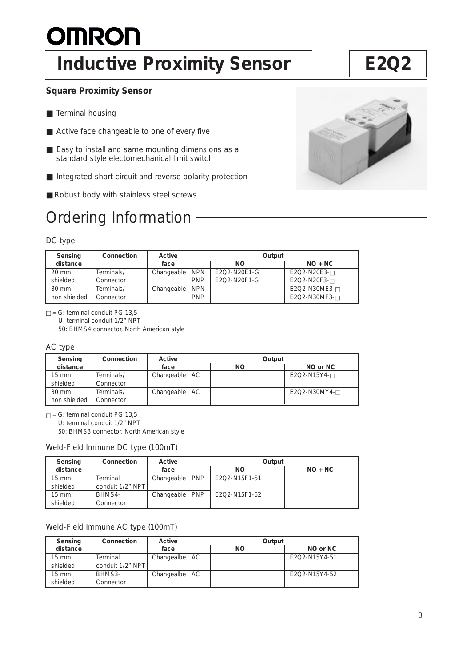# **OMRON**

### **Inductive Proximity Sensor | E2Q2**

### **Square Proximity Sensor**

- Terminal housing
- Active face changeable to one of every five
- Easy to install and same mounting dimensions as a standard style electomechanical limit switch
- Integrated short circuit and reverse polarity protection
- Robust body with stainless steel screws

### Ordering Information -

### DC type

| Sensing         | Connection | Active           |            | Output       |                |
|-----------------|------------|------------------|------------|--------------|----------------|
| distance        |            | face             |            | <b>NO</b>    | $NO + NC$      |
| $20 \text{ mm}$ | Terminals/ | Changeable   NPN |            | E2O2-N20E1-G | E2Q2-N20E3-0   |
| shielded        | Connector  |                  | <b>PNP</b> | E2O2-N20F1-G | $E2O2-N20F3-N$ |
| $30 \text{ mm}$ | Terminals/ | Changeable   NPN |            |              | E2Q2-N30ME3-0  |
| non shielded    | Connector  |                  | <b>PNP</b> |              | E2Q2-N30MF3-0  |

 $\square$  = G: terminal conduit PG 13,5 U: terminal conduit 1/2" NPT 50: BHMS4 connector, North American style

### AC type

| Sensing         | Connection | Active          | Output |                |
|-----------------|------------|-----------------|--------|----------------|
| distance        |            | face            | ΝO     | NO or NC       |
| 15 mm           | Terminals/ | Changeable   AC |        | $E2O2-N15Y4-N$ |
| shielded        | Connector  |                 |        |                |
| $30 \text{ mm}$ | Terminals/ | Changeable   AC |        | E2Q2-N30MY4-0  |
| non shielded    | Connector  |                 |        |                |

 $\square$  = G: terminal conduit PG 13,5

U: terminal conduit 1/2" NPT

50: BHMS3 connector, North American style

### Weld-Field Immune DC type (100mT)

| Sensing         | Connection       | Active           | Output        |           |
|-----------------|------------------|------------------|---------------|-----------|
| distance        |                  | face             | <b>NO</b>     | $NO + NC$ |
| $15 \text{ mm}$ | Terminal         | Changeable   PNP | E2O2-N15F1-51 |           |
| shielded        | conduit 1/2" NPT |                  |               |           |
| $15 \text{ mm}$ | BHMS4-           | Changeable   PNP | E2O2-N15F1-52 |           |
| shielded        | Connector        |                  |               |           |

### Weld-Field Immune AC type (100mT)

| Sensing         | Connection       | Active          | Output |    |               |
|-----------------|------------------|-----------------|--------|----|---------------|
| distance        |                  | face            |        | ΝO | NO or NC      |
| $15 \text{ mm}$ | Terminal         | Changealbe   AC |        |    | E2O2-N15Y4-51 |
| shielded        | conduit 1/2" NPT |                 |        |    |               |
| $15 \text{ mm}$ | BHMS3-           | Changealbe   AC |        |    | E2O2-N15Y4-52 |
| shielded        | Connector        |                 |        |    |               |

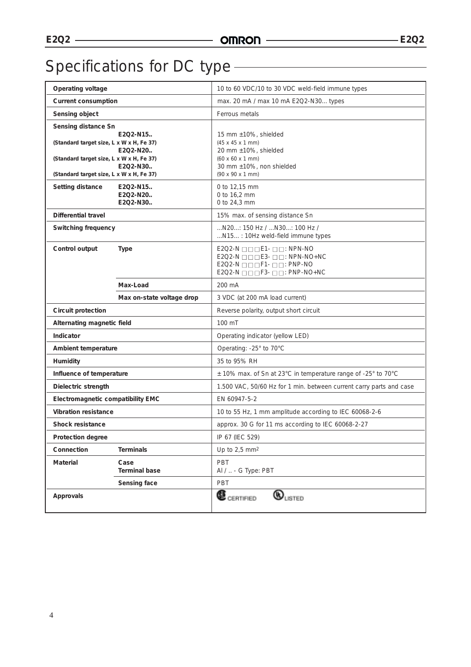### Specifications for DC type - **Canadian Exercise 2**

| Operating voltage                                                                                                                                       |                                  | 10 to 60 VDC/10 to 30 VDC weld-field immune types                                                                                                                                                                                                          |
|---------------------------------------------------------------------------------------------------------------------------------------------------------|----------------------------------|------------------------------------------------------------------------------------------------------------------------------------------------------------------------------------------------------------------------------------------------------------|
| <b>Current consumption</b>                                                                                                                              |                                  | max. 20 mA / max 10 mA E2Q2-N30 types                                                                                                                                                                                                                      |
| Sensing object                                                                                                                                          |                                  | Ferrous metals                                                                                                                                                                                                                                             |
| Sensing distance Sn<br>(Standard target size, L x W x H, Fe 37)<br>(Standard target size, L x W x H, Fe 37)<br>(Standard target size, L x W x H, Fe 37) | E2Q2-N15<br>E2Q2-N20<br>E2Q2-N30 | 15 mm ±10%, shielded<br>$(45 \times 45 \times 1 \text{ mm})$<br>20 mm ±10%, shielded<br>$(60 \times 60 \times 1 \text{ mm})$<br>30 mm ±10%, non shielded<br>$(90 \times 90 \times 1 \text{ mm})$                                                           |
| Setting distance                                                                                                                                        | E2Q2-N15<br>E2Q2-N20<br>E2Q2-N30 | 0 to 12.15 mm<br>0 to 16,2 mm<br>0 to 24,3 mm                                                                                                                                                                                                              |
| <b>Differential travel</b>                                                                                                                              |                                  | 15% max. of sensing distance Sn                                                                                                                                                                                                                            |
| <b>Switching frequency</b>                                                                                                                              |                                  | N20: 150 Hz / N30: 100 Hz /<br>N15: 10Hz weld-field immune types                                                                                                                                                                                           |
| Control output                                                                                                                                          | <b>Type</b>                      | $E2Q2-N \square \square \square E1 - \square \square : NPN-NO$<br>$E2Q2-N \square \square \square E3 - \square \square$ : NPN-NO+NC<br>$E2Q2-N \square \square \square F1-D \square$ : PNP-NO<br>$E2Q2-N \square \square \square F3-D \square$ : PNP-NO+NC |
|                                                                                                                                                         | Max-Load                         | $200 \text{ mA}$                                                                                                                                                                                                                                           |
|                                                                                                                                                         | Max on-state voltage drop        | 3 VDC (at 200 mA load current)                                                                                                                                                                                                                             |
| Circuit protection                                                                                                                                      |                                  | Reverse polarity, output short circuit                                                                                                                                                                                                                     |
| Alternating magnetic field                                                                                                                              |                                  | 100 mT                                                                                                                                                                                                                                                     |
| Indicator                                                                                                                                               |                                  | Operating indicator (yellow LED)                                                                                                                                                                                                                           |
| Ambient temperature                                                                                                                                     |                                  | Operating: -25° to 70°C                                                                                                                                                                                                                                    |
| Humidity                                                                                                                                                |                                  | 35 to 95% RH                                                                                                                                                                                                                                               |
| Influence of temperature                                                                                                                                |                                  | ± 10% max. of Sn at 23°C in temperature range of -25° to 70°C                                                                                                                                                                                              |
| Dielectric strength                                                                                                                                     |                                  | 1.500 VAC, 50/60 Hz for 1 min. between current carry parts and case                                                                                                                                                                                        |
| Electromagnetic compatibility EMC                                                                                                                       |                                  | EN 60947-5-2                                                                                                                                                                                                                                               |
| <b>Vibration resistance</b>                                                                                                                             |                                  | 10 to 55 Hz, 1 mm amplitude according to IEC 60068-2-6                                                                                                                                                                                                     |
| <b>Shock resistance</b>                                                                                                                                 |                                  | approx. 30 G for 11 ms according to IEC 60068-2-27                                                                                                                                                                                                         |
| Protection degree                                                                                                                                       |                                  | IP 67 (IEC 529)                                                                                                                                                                                                                                            |
| Connection                                                                                                                                              | <b>Terminals</b>                 | Up to $2,5$ mm <sup>2</sup>                                                                                                                                                                                                                                |
| Material                                                                                                                                                | Case<br><b>Terminal base</b>     | PBT<br>Al /  - G Type: PBT                                                                                                                                                                                                                                 |
|                                                                                                                                                         | Sensing face                     | PBT                                                                                                                                                                                                                                                        |
| Approvals                                                                                                                                               |                                  | $\mathbf{\mathbf{\mathbb{C}}}_{\texttt{CERTIFED}}$<br>$\bm{\mathbb{Q}}_\text{\tiny{LISTED}}$                                                                                                                                                               |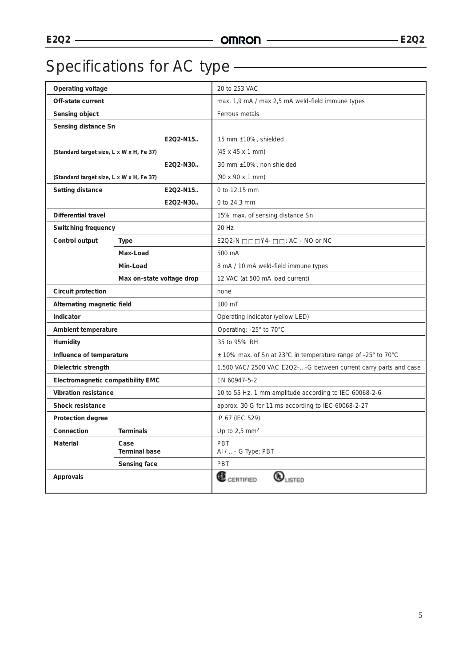### Specifications for AC type - The Contract of Specifications for AC type - The Contract of Specifications of Specifications of Specifications of Specifications of Specifications of Specifications of Specifications of Specif

| Operating voltage                        |                              | 20 to 253 VAC                                                     |
|------------------------------------------|------------------------------|-------------------------------------------------------------------|
| Off-state current                        |                              | max. 1,9 mA / max 2,5 mA weld-field immune types                  |
| Sensing object                           |                              | Ferrous metals                                                    |
| Sensing distance Sn                      |                              |                                                                   |
|                                          | E2Q2-N15                     | 15 mm ±10%, shielded                                              |
| (Standard target size, L x W x H, Fe 37) |                              | $(45 \times 45 \times 1 \text{ mm})$                              |
|                                          | E2Q2-N30                     | 30 mm ±10%, non shielded                                          |
| (Standard target size, L x W x H, Fe 37) |                              | $(90 \times 90 \times 1 \text{ mm})$                              |
| Setting distance                         | E2O2-N15                     | 0 to 12,15 mm                                                     |
|                                          | E2Q2-N30                     | 0 to 24,3 mm                                                      |
| <b>Differential travel</b>               |                              | 15% max. of sensing distance Sn                                   |
| Switching frequency                      |                              | 20 Hz                                                             |
| Control output                           | Type                         | $E2Q2-N \square \square \square Y4-D \square$ : AC - NO or NC     |
|                                          | Max-Load                     | 500 mA                                                            |
|                                          | Min-Load                     | 8 mA / 10 mA weld-field immune types                              |
|                                          | Max on-state voltage drop    | 12 VAC (at 500 mA load current)                                   |
| Circuit protection                       |                              | none                                                              |
| Alternating magnetic field               |                              | 100 mT                                                            |
| Indicator                                |                              | Operating indicator (yellow LED)                                  |
| Ambient temperature                      |                              | Operating: -25° to 70°C                                           |
| <b>Humidity</b>                          |                              | 35 to 95% RH                                                      |
| Influence of temperature                 |                              | $\pm$ 10% max. of Sn at 23°C in temperature range of -25° to 70°C |
| Dielectric strength                      |                              | 1.500 VAC/ 2500 VAC E2Q2--G between current carry parts and case  |
| Electromagnetic compatibility EMC        |                              | EN 60947-5-2                                                      |
| <b>Vibration resistance</b>              |                              | 10 to 55 Hz, 1 mm amplitude according to IEC 60068-2-6            |
| <b>Shock resistance</b>                  |                              | approx. 30 G for 11 ms according to IEC 60068-2-27                |
| Protection degree                        |                              | IP 67 (IEC 529)                                                   |
| Connection                               | <b>Terminals</b>             | Up to $2,5$ mm <sup>2</sup>                                       |
| <b>Material</b>                          | Case<br><b>Terminal base</b> | PBT<br>Al /  - G Type: PBT                                        |
|                                          | Sensing face                 | PBT                                                               |
| Approvals                                |                              | Œ<br>$\mathbf{\hat{W}}_{\text{LSTED}}$<br>CERTIFIED               |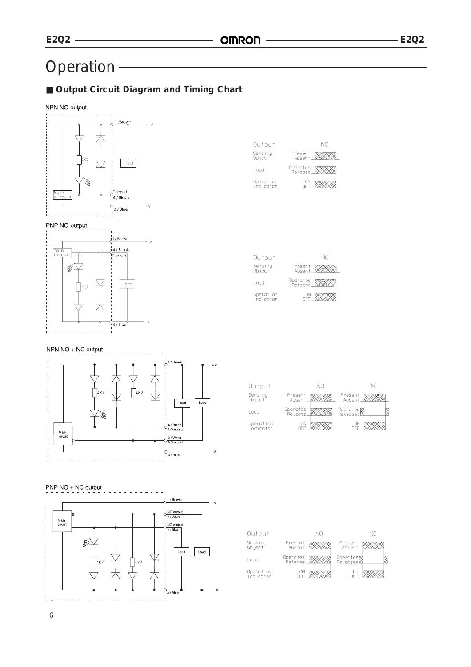### Operation

### ■ Output Circuit Diagram and Timing Chart





| Output                 | NΠ                  |
|------------------------|---------------------|
| Sensing<br>Ob ject     | Present<br>Absent   |
| l ond                  | Operates<br>Relense |
| Operation<br>Indicator | OΝ                  |

| Output                 | NΠ                       |
|------------------------|--------------------------|
| Sensing<br>Ob ject     | Present<br>Ahsent        |
| Load                   | Operates<br>.<br>Relense |
| Operation<br>Indicator | ON                       |

### NPN NO + NC output





### PNP NO + NC output 1 / Brown  $+1$  $\frac{1}{2}$  / White Main<br>circuit  $\sqrt[4]{\frac{NQ \text{ output}}{4/Back}}$ kiji.  $\boxed{\phantom{1} \text{Load}}$  $\overline{\phantom{a}}$  Load 才 ò  $3/Blue$

| Output    | NΩ                  | NΓ                   |
|-----------|---------------------|----------------------|
| Sensing   | Present             | Present              |
| Ob ject   | Absent              | Absent               |
| Logd      | Operates<br>Release | Operates<br>Releases |
| Operation | OΝ                  | OΝ                   |
| Indicator | <b>NEE</b>          | OEE                  |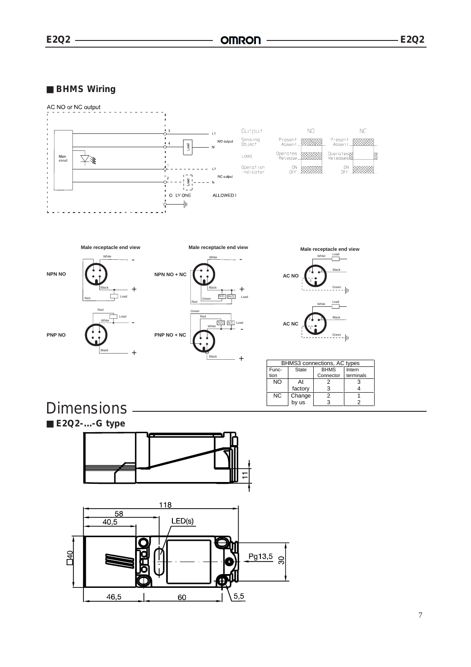**E2Q2 E2Q2**

■ **BHMS** Wiring



by us

3

2

**Dimensions** Dimensions



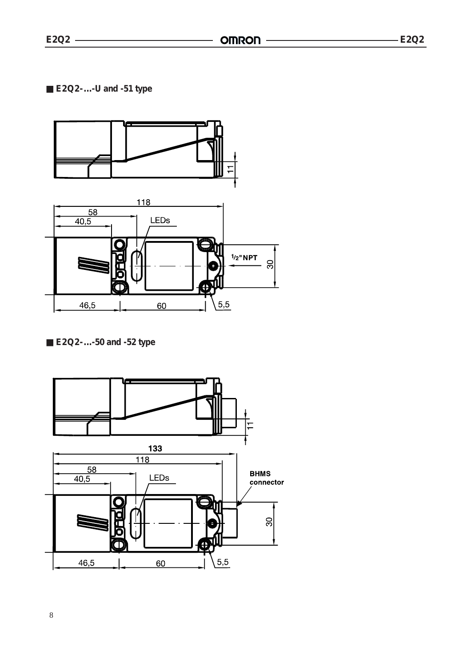

### ■ **E2Q2**-...-50 and -52 type

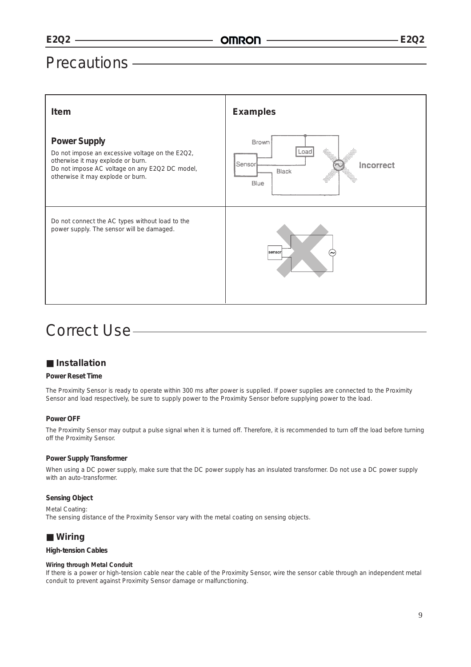### **Precautions -**

| Item                                                                                                                                                                                               | <b>Examples</b>                                                               |
|----------------------------------------------------------------------------------------------------------------------------------------------------------------------------------------------------|-------------------------------------------------------------------------------|
| <b>Power Supply</b><br>Do not impose an excessive voltage on the E2Q2,<br>otherwise it may explode or burn.<br>Do not impose AC voltage on any E2Q2 DC model,<br>otherwise it may explode or burn. | Brown<br>$\frac{1}{2}$<br>Load<br>Sensor<br>Incorrect<br><b>Black</b><br>Blue |
| Do not connect the AC types without load to the<br>power supply. The sensor will be damaged.                                                                                                       | sensor                                                                        |

### Correct Use-

### Installation

#### **Power Reset Time**

The Proximity Sensor is ready to operate within 300 ms after power is supplied. If power supplies are connected to the Proximity Sensor and load respectively, be sure to supply power to the Proximity Sensor before supplying power to the load.

#### Power OFF

The Proximity Sensor may output a pulse signal when it is turned off. Therefore, it is recommended to turn off the load before turning off the Proximity Sensor.

#### **Power Supply Transformer**

When using a DC power supply, make sure that the DC power supply has an insulated transformer. Do not use a DC power supply with an auto-transformer.

### **Sensing Object**

Metal Coating: The sensing distance of the Proximity Sensor vary with the metal coating on sensing objects.

### ■ Wiring

### **High-tension Cables**

#### Wiring through Metal Conduit

If there is a power or high-tension cable near the cable of the Proximity Sensor, wire the sensor cable through an independent metal conduit to prevent against Proximity Sensor damage or malfunctioning.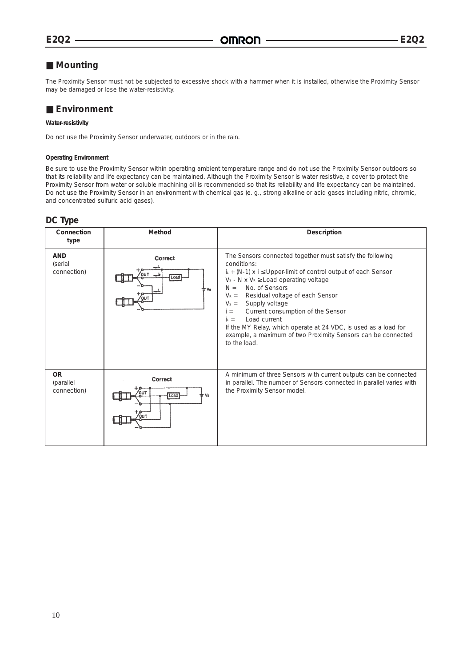### Mounting

The Proximity Sensor must not be subjected to excessive shock with a hammer when it is installed, otherwise the Proximity Sensor may be damaged or lose the water-resistivity.

### Environment

#### Water-resistivity

Do not use the Proximity Sensor underwater, outdoors or in the rain.

#### **Operating Environment**

Be sure to use the Proximity Sensor within operating ambient temperature range and do not use the Proximity Sensor outdoors so that its reliability and life expectancy can be maintained. Although the Proximity Sensor is water resistive, a cover to protect the Proximity Sensor from water or soluble machining oil is recommended so that its reliability and life expectancy can be maintained. Do not use the Proximity Sensor in an environment with chemical gas (e. g., strong alkaline or acid gases including nitric, chromic, and concentrated sulfuric acid gases).

### DC Type

| Connection<br>type                    | Method                                        | Description                                                                                                                                                                                                                                                                                                                                                                                                                                                                                                                                           |
|---------------------------------------|-----------------------------------------------|-------------------------------------------------------------------------------------------------------------------------------------------------------------------------------------------------------------------------------------------------------------------------------------------------------------------------------------------------------------------------------------------------------------------------------------------------------------------------------------------------------------------------------------------------------|
| <b>AND</b><br>(serial<br>connection)  | Correct<br>$\rightarrow$<br>TUC<br>Load<br>Vs | The Sensors connected together must satisfy the following<br>conditions:<br>$i_{\text{L}}$ + (N-1) x i $\leq$ Upper-limit of control output of each Sensor<br>$V_s$ - N x $V_R \ge$ Load operating voltage<br>No. of Sensors<br>$N =$<br>Residual voltage of each Sensor<br>$V_R =$<br>Supply voltage<br>$V_s =$<br>Current consumption of the Sensor<br>$i =$<br>Load current<br>$i_{\text{L}} =$<br>If the MY Relay, which operate at 24 VDC, is used as a load for<br>example, a maximum of two Proximity Sensors can be connected<br>to the load. |
| <b>OR</b><br>(parallel<br>connection) | <b>Correct</b><br>Load                        | A minimum of three Sensors with current outputs can be connected<br>in parallel. The number of Sensors connected in parallel varies with<br>the Proximity Sensor model.                                                                                                                                                                                                                                                                                                                                                                               |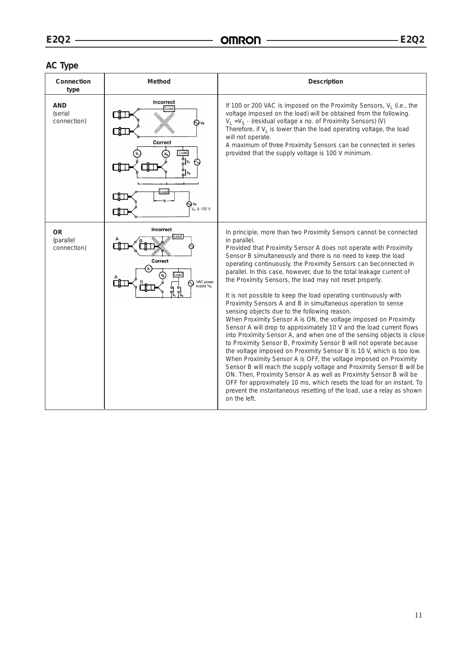### **AC Type**

| Connection<br>type                    | Method                                                                                                          | Description                                                                                                                                                                                                                                                                                                                                                                                                                                                                                                                                                                                                                                                                                                                                                                                                                                                                                                                                                                                                                                                                                                                                                                                                                                                                                                                                                            |
|---------------------------------------|-----------------------------------------------------------------------------------------------------------------|------------------------------------------------------------------------------------------------------------------------------------------------------------------------------------------------------------------------------------------------------------------------------------------------------------------------------------------------------------------------------------------------------------------------------------------------------------------------------------------------------------------------------------------------------------------------------------------------------------------------------------------------------------------------------------------------------------------------------------------------------------------------------------------------------------------------------------------------------------------------------------------------------------------------------------------------------------------------------------------------------------------------------------------------------------------------------------------------------------------------------------------------------------------------------------------------------------------------------------------------------------------------------------------------------------------------------------------------------------------------|
| <b>AND</b><br>(serial<br>connection)  | Incorrect<br>Load<br>N vs<br>Correct<br>Load<br>$\frac{1}{2}$<br>∾<br>ەر<br>ئ<br>Load<br>$V_s \geq 100$ V<br>ΟО | If 100 or 200 VAC is imposed on the Proximity Sensors, $V_1$ (i.e., the<br>voltage imposed on the load) will be obtained from the following.<br>$V_1 = V_S$ - (residual voltage x no. of Proximity Sensors) (V)<br>Therefore, if $V_1$ is lower than the load operating voltage, the load<br>will not operate.<br>A maximum of three Proximity Sensors can be connected in series<br>provided that the supply voltage is 100 V minimum.                                                                                                                                                                                                                                                                                                                                                                                                                                                                                                                                                                                                                                                                                                                                                                                                                                                                                                                                |
| <b>OR</b><br>(parallel<br>connection) | Incorrect<br>Load<br>Correct<br>Load<br>VAC power<br>supply V <sub>S</sub><br>ನಿ<br>$\frac{1}{x}$               | In principle, more than two Proximity Sensors cannot be connected<br>in parallel.<br>Provided that Proximity Sensor A does not operate with Proximity<br>Sensor B simultaneously and there is no need to keep the load<br>operating continuously, the Proximity Sensors can beconnected in<br>parallel. In this case, however, due to the total leakage current of<br>the Proximity Sensors, the load may not reset properly.<br>It is not possible to keep the load operating continuously with<br>Proximity Sensors A and B in simultaneous operation to sense<br>sensing objects due to the following reason.<br>When Proximity Sensor A is ON, the voltage imposed on Proximity<br>Sensor A will drop to approximately 10 V and the load current flows<br>into Proximity Sensor A, and when one of the sensing objects is close<br>to Proximity Sensor B, Proximity Sensor B will not operate because<br>the voltage imposed on Proximity Sensor B is 10 V, which is too low.<br>When Proximity Sensor A is OFF, the voltage imposed on Proximity<br>Sensor B will reach the supply voltage and Proximity Sensor B will be<br>ON. Then, Proximity Sensor A as well as Proximity Sensor B will be<br>OFF for approximately 10 ms, which resets the load for an instant. To<br>prevent the instantaneous resetting of the load, use a relay as shown<br>on the left. |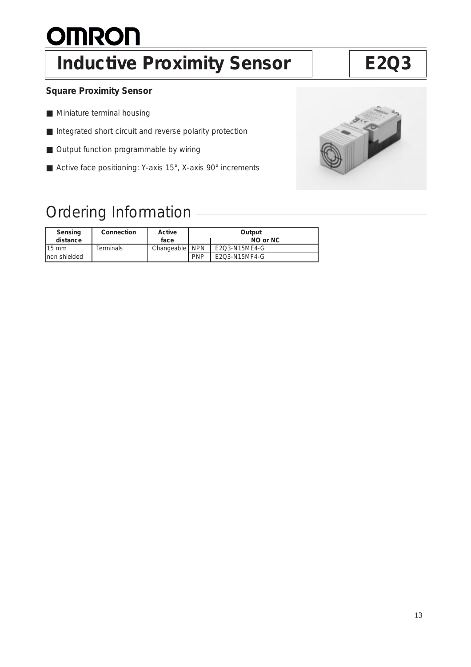# **OMRON**

## Inductive Proximity Sensor | E2Q3

### **Square Proximity Sensor**

- Miniature terminal housing
- Integrated short circuit and reverse polarity protection
- Output function programmable by wiring
- Active face positioning: Y-axis 15°, X-axis 90° increments

### Ordering Information

| Sensing<br>distance | Connection | Active<br>face   |            | Output<br>NO or NC |
|---------------------|------------|------------------|------------|--------------------|
| $115 \text{ mm}$    | Terminals  | Changeable   NPN |            | E2O3-N15ME4-G      |
| Inon shielded       |            |                  | <b>PNP</b> | E2Q3-N15MF4-G      |

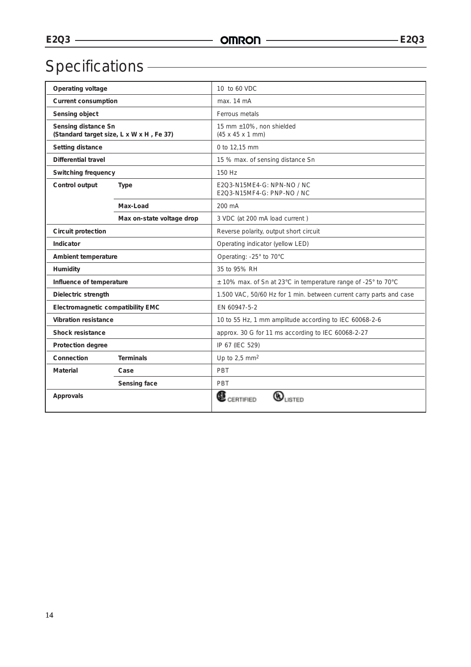# Specifications <u>- Specifications</u>

| Operating voltage                                               |                           | 10 to 60 VDC                                                        |  |  |
|-----------------------------------------------------------------|---------------------------|---------------------------------------------------------------------|--|--|
| <b>Current consumption</b>                                      |                           | max. 14 mA                                                          |  |  |
| Sensing object                                                  |                           | Ferrous metals                                                      |  |  |
| Sensing distance Sn<br>(Standard target size, L x W x H, Fe 37) |                           | 15 mm ±10%, non shielded<br>$(45 \times 45 \times 1 \text{ mm})$    |  |  |
| Setting distance                                                |                           | 0 to 12,15 mm                                                       |  |  |
| <b>Differential travel</b>                                      |                           | 15 % max. of sensing distance Sn                                    |  |  |
| <b>Switching frequency</b>                                      |                           | 150 Hz                                                              |  |  |
| Control output                                                  | Type                      | E2O3-N15ME4-G: NPN-NO / NC<br>E2Q3-N15MF4-G: PNP-NO / NC            |  |  |
|                                                                 | Max-Load                  | 200 mA                                                              |  |  |
|                                                                 | Max on-state voltage drop | 3 VDC (at 200 mA load current)                                      |  |  |
| Circuit protection                                              |                           | Reverse polarity, output short circuit                              |  |  |
| Indicator                                                       |                           | Operating indicator (yellow LED)                                    |  |  |
| Ambient temperature                                             |                           | Operating: -25° to 70°C                                             |  |  |
| Humidity                                                        |                           | 35 to 95% RH                                                        |  |  |
| Influence of temperature                                        |                           | ± 10% max. of Sn at 23°C in temperature range of -25° to 70°C       |  |  |
| Dielectric strength                                             |                           | 1.500 VAC, 50/60 Hz for 1 min. between current carry parts and case |  |  |
| Electromagnetic compatibility EMC                               |                           | EN 60947-5-2                                                        |  |  |
| <b>Vibration resistance</b>                                     |                           | 10 to 55 Hz, 1 mm amplitude according to IEC 60068-2-6              |  |  |
| Shock resistance                                                |                           | approx. 30 G for 11 ms according to IEC 60068-2-27                  |  |  |
| Protection degree                                               |                           | IP 67 (IEC 529)                                                     |  |  |
| Connection<br><b>Terminals</b>                                  |                           | Up to $2.5$ mm <sup>2</sup>                                         |  |  |
| Material<br>Case                                                |                           | PBT                                                                 |  |  |
|                                                                 | Sensing face              | PBT                                                                 |  |  |
| Approvals                                                       |                           | <b>CERTIFIED</b><br><b>ISTED</b>                                    |  |  |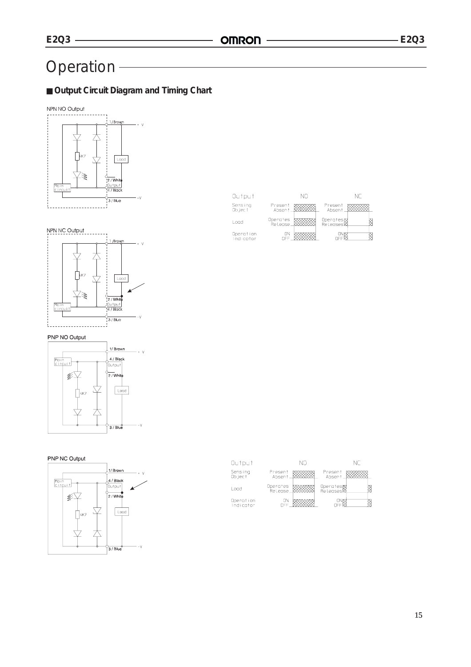### Operation

### ■ **Output Circuit Diagram and Timing Chart**







### PNP NO Output



### PNP NC Output



| Output                 | NΠ                  | NГ                   |
|------------------------|---------------------|----------------------|
| Sensing<br>Ob ject     | Present<br>Absent   | Present<br>Absent    |
| l oad                  | Operates<br>Release | Operates<br>Releases |
| Operation<br>Indicator | ΟN                  | n١                   |

| Output                 | NΠ                                           | NΓ |
|------------------------|----------------------------------------------|----|
| Sensing<br>Ob ject     | Present<br>Present<br>Absent<br>Absent       |    |
| l oad                  | Operates<br>.Release<br>Operates<br>Releases |    |
| Operation<br>Indicator | ΩN                                           |    |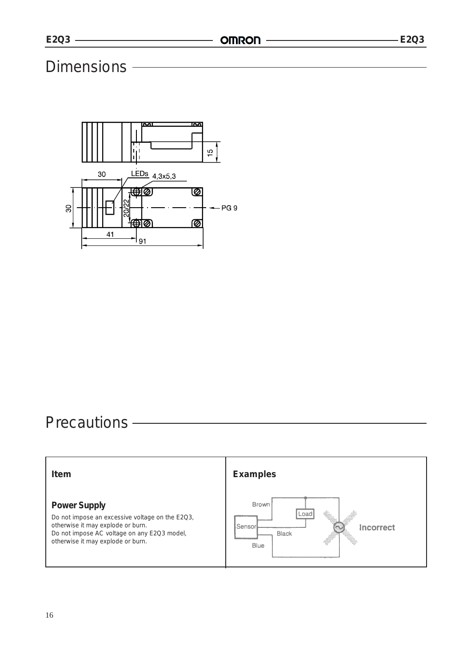### Dimensions -



### Precautions -

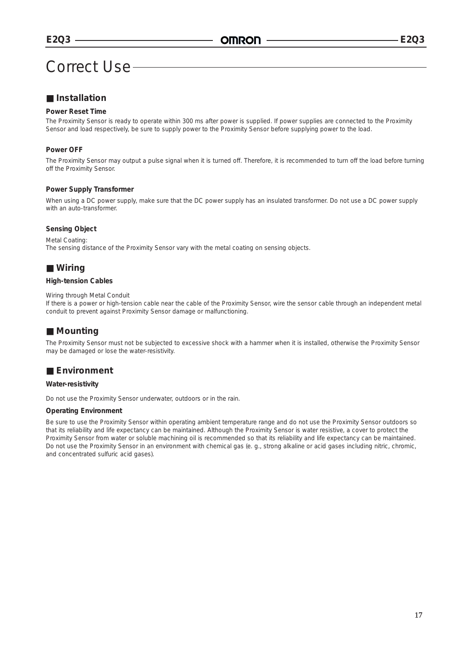### Correct Use

### ■ **Installation**

### **Power Reset Time**

The Proximity Sensor is ready to operate within 300 ms after power is supplied. If power supplies are connected to the Proximity Sensor and load respectively, be sure to supply power to the Proximity Sensor before supplying power to the load.

### **Power OFF**

The Proximity Sensor may output a pulse signal when it is turned off. Therefore, it is recommended to turn off the load before turning off the Proximity Sensor.

#### **Power Supply Transformer**

When using a DC power supply, make sure that the DC power supply has an insulated transformer. Do not use a DC power supply with an auto-transformer.

#### **Sensing Object**

Metal Coating: The sensing distance of the Proximity Sensor vary with the metal coating on sensing objects.

### ■ Wiring

#### **High-tension Cables**

#### Wiring through Metal Conduit

If there is a power or high-tension cable near the cable of the Proximity Sensor, wire the sensor cable through an independent metal conduit to prevent against Proximity Sensor damage or malfunctioning.

### ■ **Mounting**

The Proximity Sensor must not be subjected to excessive shock with a hammer when it is installed, otherwise the Proximity Sensor may be damaged or lose the water-resistivity.

### ■ **Environment**

#### **Water-resistivity**

Do not use the Proximity Sensor underwater, outdoors or in the rain.

#### **Operating Environment**

Be sure to use the Proximity Sensor within operating ambient temperature range and do not use the Proximity Sensor outdoors so that its reliability and life expectancy can be maintained. Although the Proximity Sensor is water resistive, a cover to protect the Proximity Sensor from water or soluble machining oil is recommended so that its reliability and life expectancy can be maintained. Do not use the Proximity Sensor in an environment with chemical gas (e. g., strong alkaline or acid gases including nitric, chromic, and concentrated sulfuric acid gases).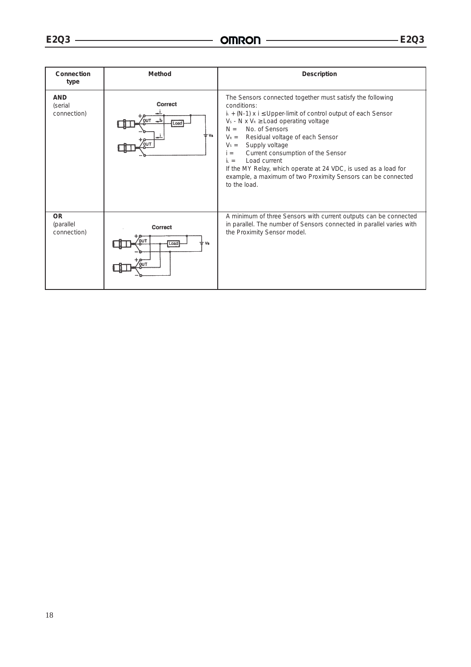$\overline{\phantom{0}}$ 

| Connection<br>type                    | Method                                        | Description                                                                                                                                                                                                                                                                                                                                                                                                                                                                                                                                                    |
|---------------------------------------|-----------------------------------------------|----------------------------------------------------------------------------------------------------------------------------------------------------------------------------------------------------------------------------------------------------------------------------------------------------------------------------------------------------------------------------------------------------------------------------------------------------------------------------------------------------------------------------------------------------------------|
| <b>AND</b><br>(serial<br>connection)  | Correct<br>بالد<br><b>OUT</b><br>Load<br>- Vs | The Sensors connected together must satisfy the following<br>conditions:<br>$i_{L}$ + (N-1) x i $\leq$ Upper-limit of control output of each Sensor<br>$V_s$ - N x $V_R \geq$ Load operating voltage<br>No. of Sensors<br>$N =$<br>Residual voltage of each Sensor<br>$V_R =$<br>Supply voltage<br>$V_s =$<br>Current consumption of the Sensor<br>$i =$<br>Load current<br>$\mathbf{i} \cdot \mathbf{r} =$<br>If the MY Relay, which operate at 24 VDC, is used as a load for<br>example, a maximum of two Proximity Sensors can be connected<br>to the load. |
| <b>OR</b><br>(parallel<br>connection) | Correct<br>Load<br>Vs                         | A minimum of three Sensors with current outputs can be connected<br>in parallel. The number of Sensors connected in parallel varies with<br>the Proximity Sensor model.                                                                                                                                                                                                                                                                                                                                                                                        |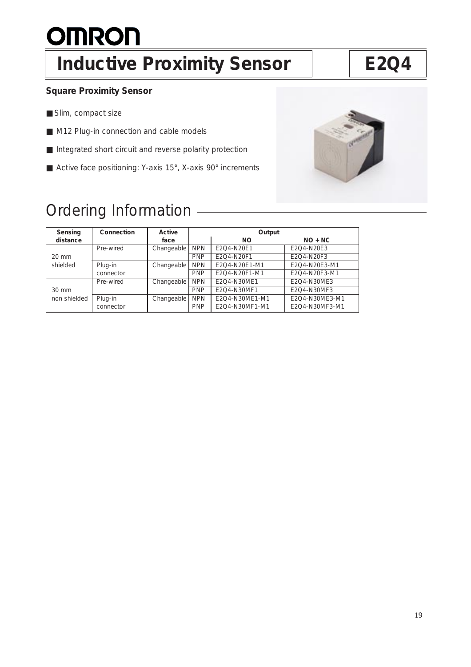# **OMRON**

### Inductive Proximity Sensor | E2Q4

### **Square Proximity Sensor**

- Slim, compact size
- M12 Plug-in connection and cable models
- Integrated short circuit and reverse polarity protection
- Active face positioning: Y-axis 15°, X-axis 90° increments

### Ordering Information

| Sensing         | Connection | Active     | Output     |                |                |
|-----------------|------------|------------|------------|----------------|----------------|
| distance        |            | face       |            | <b>NO</b>      | $NO + NC$      |
|                 | Pre-wired  | Changeable | <b>NPN</b> | E2O4-N20E1     | E2O4-N20E3     |
| $20 \text{ mm}$ |            |            | <b>PNP</b> | E2O4-N20F1     | E2Q4-N20F3     |
| shielded        | Plug-in    | Changeable | <b>NPN</b> | E2O4-N20E1-M1  | E2Q4-N20E3-M1  |
|                 | connector  |            | <b>PNP</b> | E2O4-N20F1-M1  | E2O4-N20F3-M1  |
|                 | Pre-wired  | Changeable | <b>NPN</b> | E2O4-N30ME1    | E2O4-N30ME3    |
| $30 \text{ mm}$ |            |            | <b>PNP</b> | E2Q4-N30MF1    | E2Q4-N30MF3    |
| non shielded    | Plug-in    | Changeable | <b>NPN</b> | E2Q4-N30ME1-M1 | E2Q4-N30ME3-M1 |
|                 | connector  |            | <b>PNP</b> | E2Q4-N30MF1-M1 | E2Q4-N30MF3-M1 |

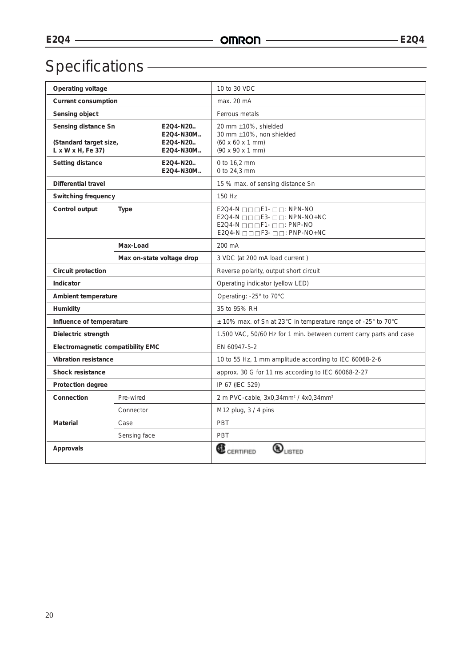## Specifications

| Operating voltage                                                               |                                                | 10 to 30 VDC                                                                                                                                                                                                                                               |  |
|---------------------------------------------------------------------------------|------------------------------------------------|------------------------------------------------------------------------------------------------------------------------------------------------------------------------------------------------------------------------------------------------------------|--|
| <b>Current consumption</b>                                                      |                                                | max. 20 mA                                                                                                                                                                                                                                                 |  |
| Sensing object                                                                  |                                                | Ferrous metals                                                                                                                                                                                                                                             |  |
| Sensing distance Sn<br>(Standard target size,<br>$L \times W \times H$ , Fe 37) | E2Q4-N20<br>E2Q4-N30M<br>E2Q4-N20<br>E2Q4-N30M | 20 mm ±10%, shielded<br>30 mm ±10%, non shielded<br>$(60 \times 60 \times 1 \text{ mm})$<br>(90 x 90 x 1 mm)                                                                                                                                               |  |
| Setting distance                                                                | E2Q4-N20<br>E2Q4-N30M                          | 0 to 16,2 mm<br>0 to 24,3 mm                                                                                                                                                                                                                               |  |
| Differential travel                                                             |                                                | 15 % max. of sensing distance Sn                                                                                                                                                                                                                           |  |
| Switching frequency                                                             |                                                | 150 Hz                                                                                                                                                                                                                                                     |  |
| Control output                                                                  | <b>Type</b>                                    | $E2Q4-N \square \square \square E1 - \square \square : NPN-NO$<br>$E2Q4-N \square \square \square E3 - \square \square : NPN-NO+NC$<br>$E2Q4-N \square \square \square F1-D \square : PNP-NO$<br>$E2Q4-N \square \square \square F3-D \square : PNP-NO+NC$ |  |
|                                                                                 | Max-Load                                       | 200 mA                                                                                                                                                                                                                                                     |  |
|                                                                                 | Max on-state voltage drop                      | 3 VDC (at 200 mA load current)                                                                                                                                                                                                                             |  |
| Circuit protection                                                              |                                                | Reverse polarity, output short circuit                                                                                                                                                                                                                     |  |
| Indicator                                                                       |                                                | Operating indicator (yellow LED)                                                                                                                                                                                                                           |  |
| Ambient temperature                                                             |                                                | Operating: -25° to 70°C                                                                                                                                                                                                                                    |  |
| Humidity                                                                        |                                                | 35 to 95% RH                                                                                                                                                                                                                                               |  |
| Influence of temperature                                                        |                                                | ± 10% max. of Sn at 23°C in temperature range of -25° to 70°C                                                                                                                                                                                              |  |
| Dielectric strength                                                             |                                                | 1.500 VAC, 50/60 Hz for 1 min. between current carry parts and case                                                                                                                                                                                        |  |
| Electromagnetic compatibility EMC                                               |                                                | EN 60947-5-2                                                                                                                                                                                                                                               |  |
| <b>Vibration resistance</b>                                                     |                                                | 10 to 55 Hz, 1 mm amplitude according to IEC 60068-2-6                                                                                                                                                                                                     |  |
| <b>Shock resistance</b>                                                         |                                                | approx. 30 G for 11 ms according to IEC 60068-2-27                                                                                                                                                                                                         |  |
| Protection degree                                                               |                                                | IP 67 (IEC 529)                                                                                                                                                                                                                                            |  |
| Connection<br>Pre-wired                                                         |                                                | 2 m PVC-cable, 3x0,34mm <sup>2</sup> / 4x0,34mm <sup>2</sup>                                                                                                                                                                                               |  |
|                                                                                 | Connector                                      | M12 plug, 3 / 4 pins                                                                                                                                                                                                                                       |  |
| <b>Material</b>                                                                 | Case                                           | PBT                                                                                                                                                                                                                                                        |  |
|                                                                                 | Sensing face                                   | PBT                                                                                                                                                                                                                                                        |  |
| Approvals                                                                       |                                                | $\mathbf{\mathbf{\Phi}}_{\textrm{usrep}}$<br><b>CE</b> CERTIFIED                                                                                                                                                                                           |  |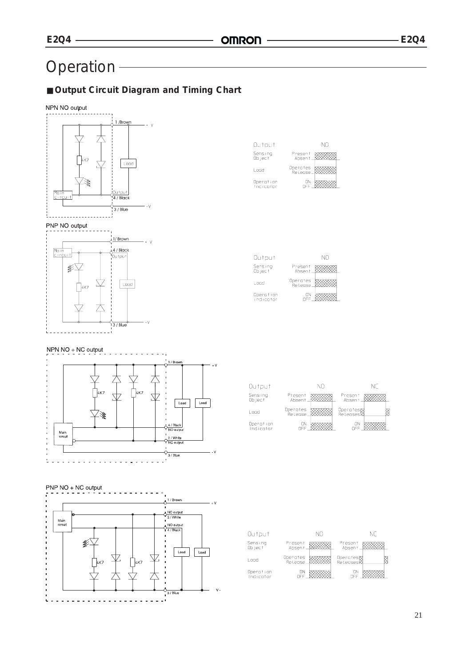### Operation -

### ■ Output Circuit Diagram and Timing Chart



| Output                 | NΠ                  |
|------------------------|---------------------|
| Sens ing<br>Ob ject    | Present<br>Absent   |
| Load                   | Operates<br>Relense |
| Operation<br>Indicator | N٢                  |

| Output                 | NΠ                  |
|------------------------|---------------------|
| Sensing<br>Ob ject     | Present<br>Absent   |
| l oad                  | Operates<br>Release |
| Operation<br>Indicator | ON                  |

### NPN NO + NC output





### PNP NO + NC output / Brown  $\varphi^{\text{NC output}}_{2/\text{White}}$ Main<br>circuit  $\frac{NQ \text{ output}}{4/B \text{ lack}}$  $\blacksquare$  $\mathscr{L}$  $\boxed{\text{Load}}$ Load 大  $3/Blu$

 $\mathbf{v}$ 

| Output                 |                      | NΠ |                      | NC |  |
|------------------------|----------------------|----|----------------------|----|--|
| Sensing<br>Ob ject     | Present<br>Absent    |    | Present<br>Absent    |    |  |
| Load                   | Operates<br>.Release |    | Operates<br>Releases |    |  |
| Operation<br>Indicator | ΠN<br>NFF            |    | OΝ<br>OEE            |    |  |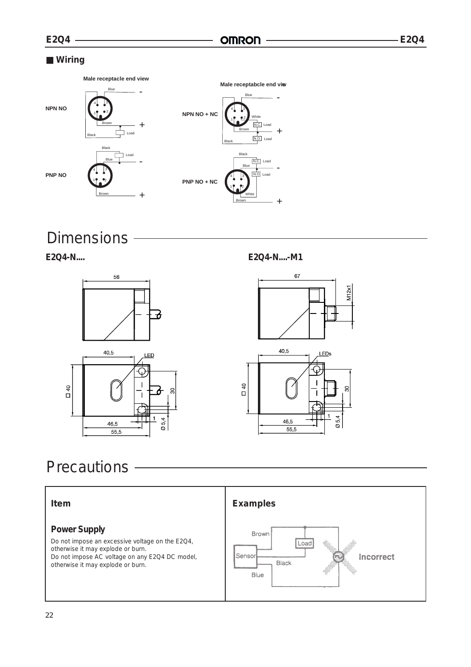### ■ Wiring



Dimensions -

E2Q4-N....



E2Q4-N....-M1



### Precautions -

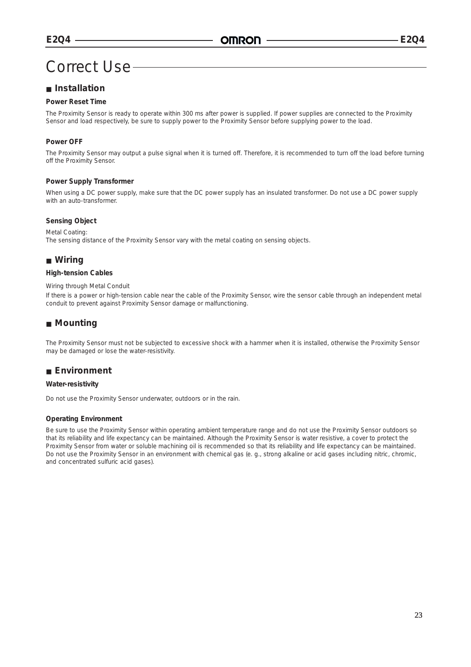### Correct Use

### ■ **Installation**

### **Power Reset Time**

The Proximity Sensor is ready to operate within 300 ms after power is supplied. If power supplies are connected to the Proximity Sensor and load respectively, be sure to supply power to the Proximity Sensor before supplying power to the load.

### **Power OFF**

The Proximity Sensor may output a pulse signal when it is turned off. Therefore, it is recommended to turn off the load before turning off the Proximity Sensor.

#### **Power Supply Transformer**

When using a DC power supply, make sure that the DC power supply has an insulated transformer. Do not use a DC power supply with an auto-transformer.

#### **Sensing Object**

#### Metal Coating:

The sensing distance of the Proximity Sensor vary with the metal coating on sensing objects.

### ■ Wiring

#### **High-tension Cables**

#### Wiring through Metal Conduit

If there is a power or high-tension cable near the cable of the Proximity Sensor, wire the sensor cable through an independent metal conduit to prevent against Proximity Sensor damage or malfunctioning.

### ■ **Mounting**

The Proximity Sensor must not be subjected to excessive shock with a hammer when it is installed, otherwise the Proximity Sensor may be damaged or lose the water-resistivity.

### ■ **Environment**

#### **Water-resistivity**

Do not use the Proximity Sensor underwater, outdoors or in the rain.

### **Operating Environment**

Be sure to use the Proximity Sensor within operating ambient temperature range and do not use the Proximity Sensor outdoors so that its reliability and life expectancy can be maintained. Although the Proximity Sensor is water resistive, a cover to protect the Proximity Sensor from water or soluble machining oil is recommended so that its reliability and life expectancy can be maintained. Do not use the Proximity Sensor in an environment with chemical gas (e. g., strong alkaline or acid gases including nitric, chromic, and concentrated sulfuric acid gases).